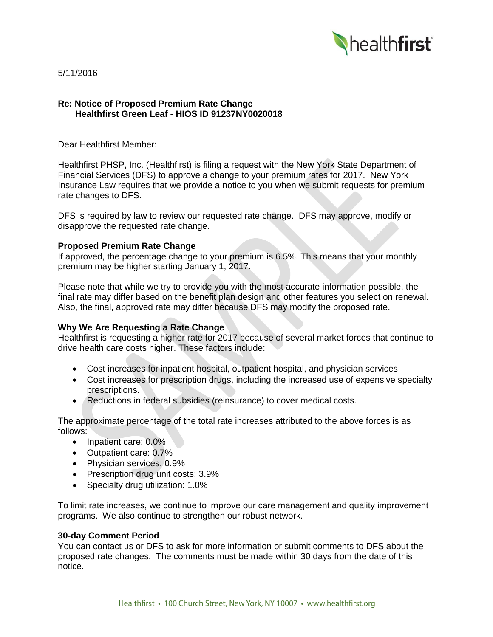

5/11/2016

## **Re: Notice of Proposed Premium Rate Change Healthfirst Green Leaf - HIOS ID 91237NY0020018**

Dear Healthfirst Member:

Healthfirst PHSP, Inc. (Healthfirst) is filing a request with the New York State Department of Financial Services (DFS) to approve a change to your premium rates for 2017. New York Insurance Law requires that we provide a notice to you when we submit requests for premium rate changes to DFS.

DFS is required by law to review our requested rate change. DFS may approve, modify or disapprove the requested rate change.

## **Proposed Premium Rate Change**

If approved, the percentage change to your premium is 6.5%. This means that your monthly premium may be higher starting January 1, 2017.

Please note that while we try to provide you with the most accurate information possible, the final rate may differ based on the benefit plan design and other features you select on renewal. Also, the final, approved rate may differ because DFS may modify the proposed rate.

# **Why We Are Requesting a Rate Change**

Healthfirst is requesting a higher rate for 2017 because of several market forces that continue to drive health care costs higher. These factors include:

- Cost increases for inpatient hospital, outpatient hospital, and physician services
- Cost increases for prescription drugs, including the increased use of expensive specialty prescriptions.
- Reductions in federal subsidies (reinsurance) to cover medical costs.

The approximate percentage of the total rate increases attributed to the above forces is as follows:

- Inpatient care: 0.0%
- Outpatient care: 0.7%
- Physician services: 0.9%
- Prescription drug unit costs: 3.9%
- Specialty drug utilization: 1.0%

To limit rate increases, we continue to improve our care management and quality improvement programs. We also continue to strengthen our robust network.

#### **30-day Comment Period**

You can contact us or DFS to ask for more information or submit comments to DFS about the proposed rate changes. The comments must be made within 30 days from the date of this notice.